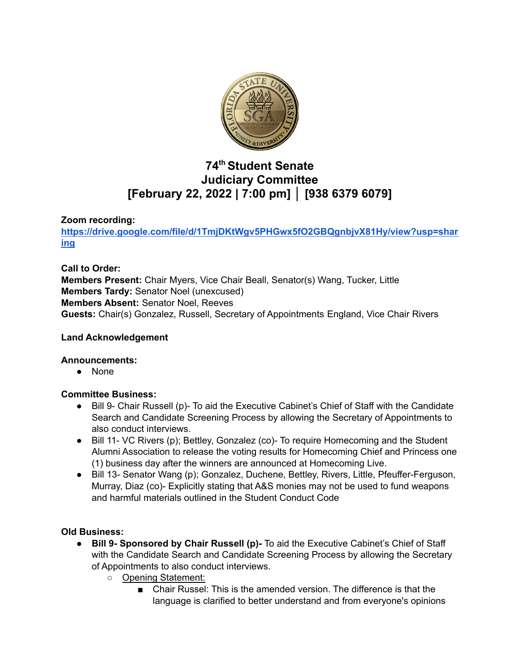

# **74 th Student Senate Judiciary Committee [February 22, 2022 | 7:00 pm] │ [938 6379 6079]**

### **Zoom recording:**

**[https://drive.google.com/file/d/1TmjDKtWgv5PHGwx5fO2GBQgnbjvX81Hy/view?usp=shar](https://drive.google.com/file/d/1TmjDKtWgv5PHGwx5fO2GBQgnbjvX81Hy/view?usp=sharing) [ing](https://drive.google.com/file/d/1TmjDKtWgv5PHGwx5fO2GBQgnbjvX81Hy/view?usp=sharing)**

**Call to Order:**

**Members Present:** Chair Myers, Vice Chair Beall, Senator(s) Wang, Tucker, Little **Members Tardy:** Senator Noel (unexcused) **Members Absent:** Senator Noel, Reeves **Guests:** Chair(s) Gonzalez, Russell, Secretary of Appointments England, Vice Chair Rivers

### **Land Acknowledgement**

### **Announcements:**

● None

### **Committee Business:**

- Bill 9- Chair Russell (p)- To aid the Executive Cabinet's Chief of Staff with the Candidate Search and Candidate Screening Process by allowing the Secretary of Appointments to also conduct interviews.
- Bill 11- VC Rivers (p); Bettley, Gonzalez (co)- To require Homecoming and the Student Alumni Association to release the voting results for Homecoming Chief and Princess one (1) business day after the winners are announced at Homecoming Live.
- Bill 13- Senator Wang (p); Gonzalez, Duchene, Bettley, Rivers, Little, Pfeuffer-Ferguson, Murray, Diaz (co)- Explicitly stating that A&S monies may not be used to fund weapons and harmful materials outlined in the Student Conduct Code

### **Old Business:**

- **● Bill 9- Sponsored by Chair Russell (p)-** To aid the Executive Cabinet's Chief of Staff with the Candidate Search and Candidate Screening Process by allowing the Secretary of Appointments to also conduct interviews.
	- **○** Opening Statement:
		- Chair Russel: This is the amended version. The difference is that the language is clarified to better understand and from everyone's opinions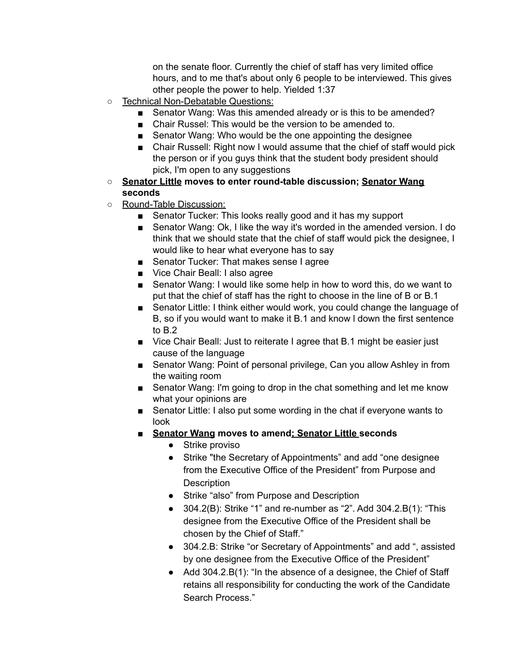on the senate floor. Currently the chief of staff has very limited office hours, and to me that's about only 6 people to be interviewed. This gives other people the power to help. Yielded 1:37

- Technical Non-Debatable Questions:
	- Senator Wang: Was this amended already or is this to be amended?
	- Chair Russel: This would be the version to be amended to.
	- Senator Wang: Who would be the one appointing the designee
	- Chair Russell: Right now I would assume that the chief of staff would pick the person or if you guys think that the student body president should pick, I'm open to any suggestions
- **○ Senator Little moves to enter round-table discussion; Senator Wang seconds**
- Round-Table Discussion:
	- Senator Tucker: This looks really good and it has my support
	- Senator Wang: Ok, I like the way it's worded in the amended version. I do think that we should state that the chief of staff would pick the designee, I would like to hear what everyone has to say
	- Senator Tucker: That makes sense I agree
	- Vice Chair Beall: I also agree
	- Senator Wang: I would like some help in how to word this, do we want to put that the chief of staff has the right to choose in the line of B or B.1
	- Senator Little: I think either would work, you could change the language of B, so if you would want to make it B.1 and know l down the first sentence to B.2
	- Vice Chair Beall: Just to reiterate I agree that B.1 might be easier just cause of the language
	- Senator Wang: Point of personal privilege, Can you allow Ashley in from the waiting room
	- Senator Wang: I'm going to drop in the chat something and let me know what your opinions are
	- Senator Little: I also put some wording in the chat if everyone wants to look
	- **■ Senator Wang moves to amend; Senator Little seconds**
		- Strike proviso
		- Strike "the Secretary of Appointments" and add "one designee from the Executive Office of the President" from Purpose and **Description**
		- Strike "also" from Purpose and Description
		- $304.2(B)$ : Strike "1" and re-number as "2". Add  $304.2.B(1)$ : "This designee from the Executive Office of the President shall be chosen by the Chief of Staff."
		- 304.2.B: Strike "or Secretary of Appointments" and add ", assisted by one designee from the Executive Office of the President"
		- Add 304.2.B(1): "In the absence of a designee, the Chief of Staff retains all responsibility for conducting the work of the Candidate Search Process."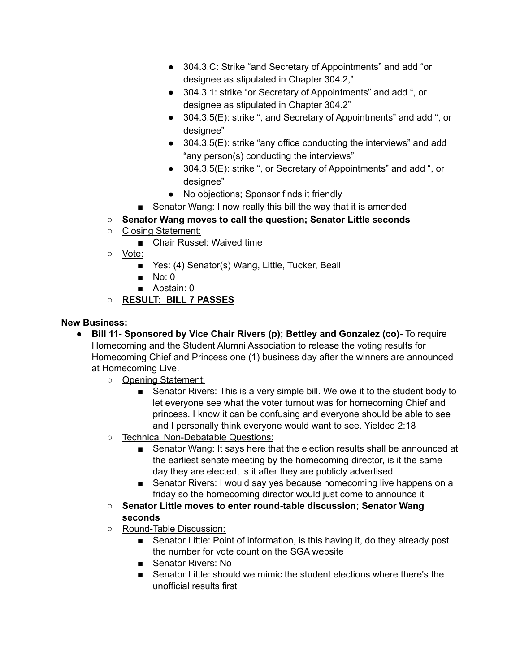- 304.3.C: Strike "and Secretary of Appointments" and add "or designee as stipulated in Chapter 304.2,"
- 304.3.1: strike "or Secretary of Appointments" and add ", or designee as stipulated in Chapter 304.2"
- 304.3.5(E): strike ", and Secretary of Appointments" and add ", or designee"
- 304.3.5(E): strike "any office conducting the interviews" and add "any person(s) conducting the interviews"
- 304.3.5(E): strike ", or Secretary of Appointments" and add ", or designee"
- No objections; Sponsor finds it friendly
- Senator Wang: I now really this bill the way that it is amended
- **○ Senator Wang moves to call the question; Senator Little seconds**
- Closing Statement:
	- Chair Russel: Waived time
- Vote:
	- Yes: (4) Senator(s) Wang, Little, Tucker, Beall
	- No: 0
	- Abstain: 0
- **○ RESULT: BILL 7 PASSES**

## **New Business:**

- **● Bill 11- Sponsored by Vice Chair Rivers (p); Bettley and Gonzalez (co)-** To require Homecoming and the Student Alumni Association to release the voting results for Homecoming Chief and Princess one (1) business day after the winners are announced at Homecoming Live.
	- **○** Opening Statement:
		- Senator Rivers: This is a very simple bill. We owe it to the student body to let everyone see what the voter turnout was for homecoming Chief and princess. I know it can be confusing and everyone should be able to see and I personally think everyone would want to see. Yielded 2:18
	- Technical Non-Debatable Questions:
		- Senator Wang: It says here that the election results shall be announced at the earliest senate meeting by the homecoming director, is it the same day they are elected, is it after they are publicly advertised
		- Senator Rivers: I would say yes because homecoming live happens on a friday so the homecoming director would just come to announce it
	- **○ Senator Little moves to enter round-table discussion; Senator Wang seconds**
	- Round-Table Discussion:
		- Senator Little: Point of information, is this having it, do they already post the number for vote count on the SGA website
		- Senator Rivers: No
		- Senator Little: should we mimic the student elections where there's the unofficial results first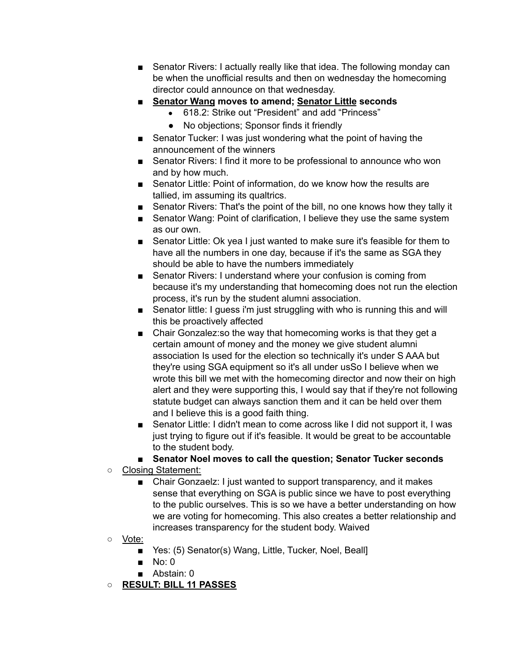- Senator Rivers: I actually really like that idea. The following monday can be when the unofficial results and then on wednesday the homecoming director could announce on that wednesday.
- **■ Senator Wang moves to amend; Senator Little seconds**
	- 618.2: Strike out "President" and add "Princess"
	- No objections; Sponsor finds it friendly
- Senator Tucker: I was just wondering what the point of having the announcement of the winners
- Senator Rivers: I find it more to be professional to announce who won and by how much.
- Senator Little: Point of information, do we know how the results are tallied, im assuming its qualtrics.
- Senator Rivers: That's the point of the bill, no one knows how they tally it
- Senator Wang: Point of clarification, I believe they use the same system as our own.
- Senator Little: Ok yea I just wanted to make sure it's feasible for them to have all the numbers in one day, because if it's the same as SGA they should be able to have the numbers immediately
- Senator Rivers: I understand where your confusion is coming from because it's my understanding that homecoming does not run the election process, it's run by the student alumni association.
- Senator little: I guess i'm just struggling with who is running this and will this be proactively affected
- Chair Gonzalez: so the way that homecoming works is that they get a certain amount of money and the money we give student alumni association Is used for the election so technically it's under S AAA but they're using SGA equipment so it's all under usSo I believe when we wrote this bill we met with the homecoming director and now their on high alert and they were supporting this, I would say that if they're not following statute budget can always sanction them and it can be held over them and I believe this is a good faith thing.
- Senator Little: I didn't mean to come across like I did not support it, I was just trying to figure out if it's feasible. It would be great to be accountable to the student body.
- **Senator Noel moves to call the question; Senator Tucker seconds**
- Closing Statement:
	- Chair Gonzaelz: I just wanted to support transparency, and it makes sense that everything on SGA is public since we have to post everything to the public ourselves. This is so we have a better understanding on how we are voting for homecoming. This also creates a better relationship and increases transparency for the student body. Waived
- Vote:
	- Yes: (5) Senator(s) Wang, Little, Tucker, Noel, Beall]
	- $\blacksquare$  No: 0
	- Abstain: 0
- **○ RESULT: BILL 11 PASSES**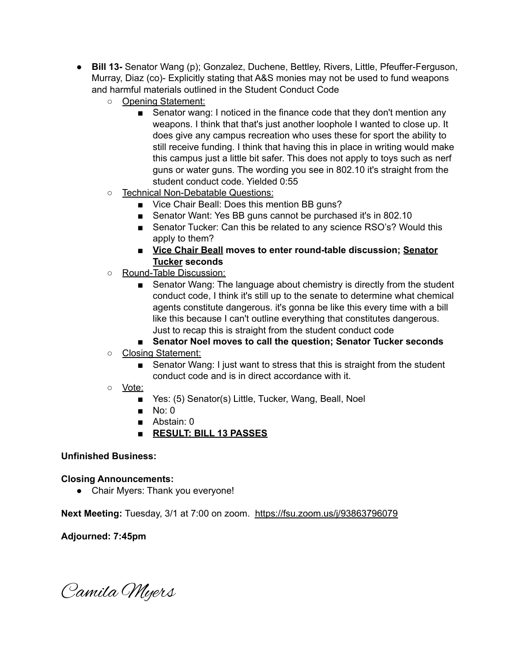- **● Bill 13-** Senator Wang (p); Gonzalez, Duchene, Bettley, Rivers, Little, Pfeuffer-Ferguson, Murray, Diaz (co)- Explicitly stating that A&S monies may not be used to fund weapons and harmful materials outlined in the Student Conduct Code
	- **○** Opening Statement:
		- Senator wang: I noticed in the finance code that they don't mention any weapons. I think that that's just another loophole I wanted to close up. It does give any campus recreation who uses these for sport the ability to still receive funding. I think that having this in place in writing would make this campus just a little bit safer. This does not apply to toys such as nerf guns or water guns. The wording you see in 802.10 it's straight from the student conduct code. Yielded 0:55
	- Technical Non-Debatable Questions:
		- Vice Chair Beall: Does this mention BB guns?
		- Senator Want: Yes BB guns cannot be purchased it's in 802.10
		- Senator Tucker: Can this be related to any science RSO's? Would this apply to them?
		- **Vice Chair Beall moves to enter round-table discussion; Senator Tucker seconds**
	- Round-Table Discussion:
		- Senator Wang: The language about chemistry is directly from the student conduct code, I think it's still up to the senate to determine what chemical agents constitute dangerous. it's gonna be like this every time with a bill like this because I can't outline everything that constitutes dangerous. Just to recap this is straight from the student conduct code

### ■ **Senator Noel moves to call the question; Senator Tucker seconds**

- Closing Statement:
	- Senator Wang: I just want to stress that this is straight from the student conduct code and is in direct accordance with it.
- Vote:
	- Yes: (5) Senator(s) Little, Tucker, Wang, Beall, Noel
	- $\blacksquare$  No: 0
	- Abstain: 0
	- **RESULT: BILL 13 PASSES**

### **Unfinished Business:**

### **Closing Announcements:**

• Chair Myers: Thank you everyone!

**Next Meeting:** Tuesday, 3/1 at 7:00 on zoom. <https://fsu.zoom.us/j/93863796079>

### **Adjourned: 7:45pm**

Camila Myers